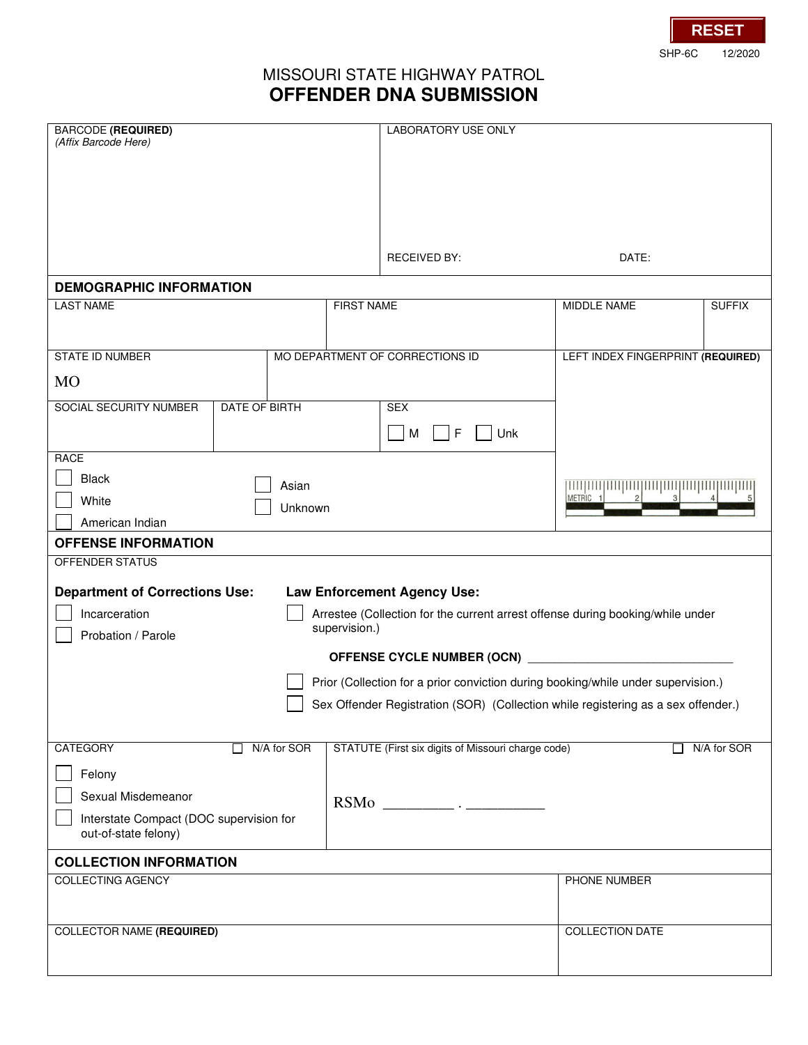SHP-6C 12/2020 **RESET**

## MISSOURI STATE HIGHWAY PATROL **OFFENDER DNA SUBMISSION**

| <b>BARCODE (REQUIRED)</b><br>(Affix Barcode Here)                                                                                      |                      |                   | LABORATORY USE ONLY                                |                                    |               |
|----------------------------------------------------------------------------------------------------------------------------------------|----------------------|-------------------|----------------------------------------------------|------------------------------------|---------------|
|                                                                                                                                        |                      |                   |                                                    |                                    |               |
|                                                                                                                                        |                      |                   |                                                    |                                    |               |
|                                                                                                                                        |                      |                   | RECEIVED BY:                                       | DATE:                              |               |
| <b>DEMOGRAPHIC INFORMATION</b>                                                                                                         |                      |                   |                                                    |                                    |               |
| <b>LAST NAME</b>                                                                                                                       |                      | <b>FIRST NAME</b> |                                                    | MIDDLE NAME                        | <b>SUFFIX</b> |
| <b>STATE ID NUMBER</b>                                                                                                                 |                      |                   | MO DEPARTMENT OF CORRECTIONS ID                    | LEFT INDEX FINGERPRINT (REQUIRED)  |               |
| <b>MO</b>                                                                                                                              |                      |                   |                                                    |                                    |               |
| <b>SOCIAL SECURITY NUMBER</b>                                                                                                          | <b>DATE OF BIRTH</b> |                   | <b>SEX</b>                                         |                                    |               |
|                                                                                                                                        |                      |                   | F<br>M<br>Unk                                      |                                    |               |
| <b>RACE</b>                                                                                                                            |                      |                   |                                                    |                                    |               |
| <b>Black</b><br>Asian                                                                                                                  |                      |                   |                                                    | <u>puququququququququququququq</u> |               |
| White<br>Unknown                                                                                                                       |                      |                   |                                                    | METRIC 1                           |               |
| American Indian                                                                                                                        |                      |                   |                                                    |                                    |               |
| <b>OFFENSE INFORMATION</b>                                                                                                             |                      |                   |                                                    |                                    |               |
| <b>OFFENDER STATUS</b>                                                                                                                 |                      |                   |                                                    |                                    |               |
| <b>Department of Corrections Use:</b><br><b>Law Enforcement Agency Use:</b>                                                            |                      |                   |                                                    |                                    |               |
| Incarceration<br>Arrestee (Collection for the current arrest offense during booking/while under<br>supervision.)<br>Probation / Parole |                      |                   |                                                    |                                    |               |
| OFFENSE CYCLE NUMBER (OCN)                                                                                                             |                      |                   |                                                    |                                    |               |
| Prior (Collection for a prior conviction during booking/while under supervision.)                                                      |                      |                   |                                                    |                                    |               |
| Sex Offender Registration (SOR) (Collection while registering as a sex offender.)                                                      |                      |                   |                                                    |                                    |               |
|                                                                                                                                        |                      |                   |                                                    |                                    |               |
| <b>CATEGORY</b>                                                                                                                        | N/A for SOR          |                   | STATUTE (First six digits of Missouri charge code) |                                    | N/A for SOR   |
| Felony                                                                                                                                 |                      |                   |                                                    |                                    |               |
| Sexual Misdemeanor                                                                                                                     |                      |                   |                                                    |                                    |               |
| Interstate Compact (DOC supervision for                                                                                                |                      |                   |                                                    |                                    |               |
| out-of-state felony)                                                                                                                   |                      |                   |                                                    |                                    |               |
| <b>COLLECTION INFORMATION</b>                                                                                                          |                      |                   |                                                    |                                    |               |
| <b>COLLECTING AGENCY</b>                                                                                                               |                      |                   |                                                    | PHONE NUMBER                       |               |
|                                                                                                                                        |                      |                   |                                                    |                                    |               |
| <b>COLLECTOR NAME (REQUIRED)</b>                                                                                                       |                      |                   |                                                    | <b>COLLECTION DATE</b>             |               |
|                                                                                                                                        |                      |                   |                                                    |                                    |               |